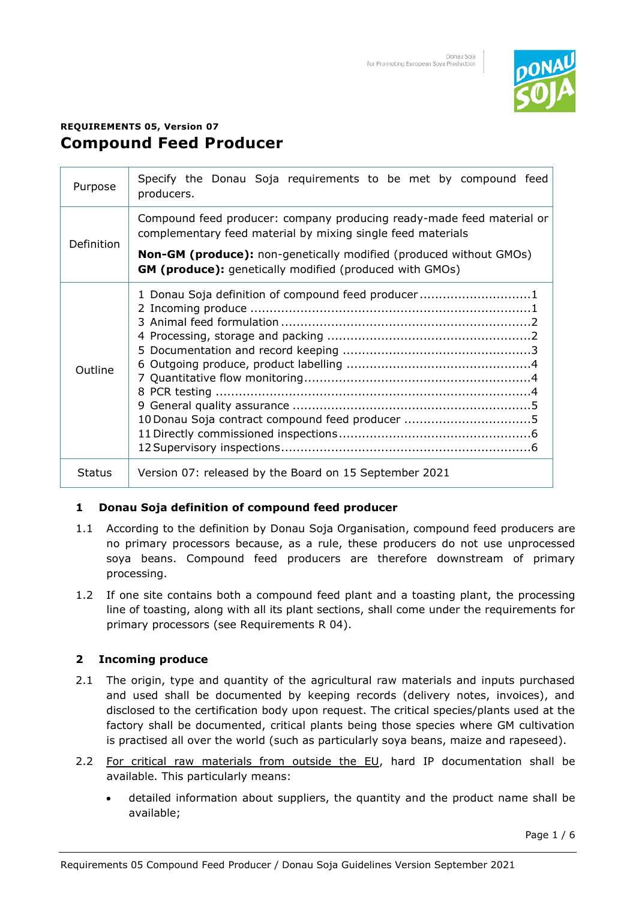

# **REQUIREMENTS 05, Version 07 Compound Feed Producer**

| Purpose       | Specify the Donau Soja requirements to be met by compound feed<br>producers.                                                         |
|---------------|--------------------------------------------------------------------------------------------------------------------------------------|
| Definition    | Compound feed producer: company producing ready-made feed material or<br>complementary feed material by mixing single feed materials |
|               | Non-GM (produce): non-genetically modified (produced without GMOs)<br>GM (produce): genetically modified (produced with GMOs)        |
| Outline       | 1 Donau Soja definition of compound feed producer1<br>10 Donau Soja contract compound feed producer 5                                |
| <b>Status</b> | Version 07: released by the Board on 15 September 2021                                                                               |

## <span id="page-0-0"></span>**1 Donau Soja definition of compound feed producer**

- 1.1 According to the definition by Donau Soja Organisation, compound feed producers are no primary processors because, as a rule, these producers do not use unprocessed soya beans. Compound feed producers are therefore downstream of primary processing.
- 1.2 If one site contains both a compound feed plant and a toasting plant, the processing line of toasting, along with all its plant sections, shall come under the requirements for primary processors (see Requirements R 04).

# <span id="page-0-1"></span>**2 Incoming produce**

- 2.1 The origin, type and quantity of the agricultural raw materials and inputs purchased and used shall be documented by keeping records (delivery notes, invoices), and disclosed to the certification body upon request. The critical species/plants used at the factory shall be documented, critical plants being those species where GM cultivation is practised all over the world (such as particularly soya beans, maize and rapeseed).
- 2.2 For critical raw materials from outside the EU, hard IP documentation shall be available. This particularly means:
	- detailed information about suppliers, the quantity and the product name shall be available;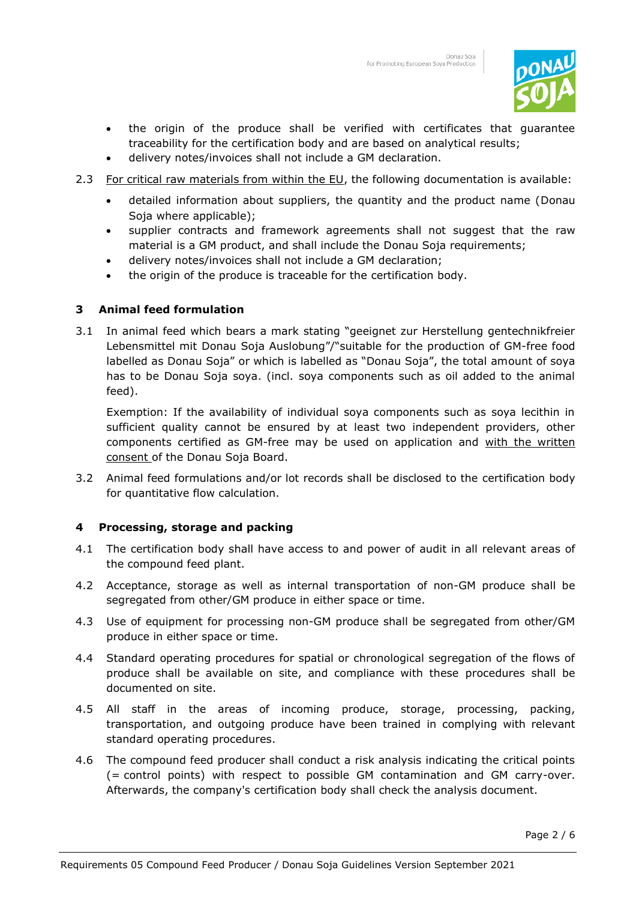

- the origin of the produce shall be verified with certificates that guarantee traceability for the certification body and are based on analytical results;
- delivery notes/invoices shall not include a GM declaration.
- 2.3 For critical raw materials from within the EU, the following documentation is available:
	- detailed information about suppliers, the quantity and the product name (Donau Soja where applicable);
	- supplier contracts and framework agreements shall not suggest that the raw material is a GM product, and shall include the Donau Soja requirements;
	- delivery notes/invoices shall not include a GM declaration;
	- the origin of the produce is traceable for the certification body.

## <span id="page-1-0"></span>**3 Animal feed formulation**

3.1 In animal feed which bears a mark stating "geeignet zur Herstellung gentechnikfreier Lebensmittel mit Donau Soja Auslobung"/"suitable for the production of GM-free food labelled as Donau Soja" or which is labelled as "Donau Soja", the total amount of soya has to be Donau Soja soya. (incl. soya components such as oil added to the animal feed).

Exemption: If the availability of individual soya components such as soya lecithin in sufficient quality cannot be ensured by at least two independent providers, other components certified as GM-free may be used on application and with the written consent of the Donau Soja Board.

3.2 Animal feed formulations and/or lot records shall be disclosed to the certification body for quantitative flow calculation.

## <span id="page-1-1"></span>**4 Processing, storage and packing**

- 4.1 The certification body shall have access to and power of audit in all relevant areas of the compound feed plant.
- 4.2 Acceptance, storage as well as internal transportation of non-GM produce shall be segregated from other/GM produce in either space or time.
- 4.3 Use of equipment for processing non-GM produce shall be segregated from other/GM produce in either space or time.
- 4.4 Standard operating procedures for spatial or chronological segregation of the flows of produce shall be available on site, and compliance with these procedures shall be documented on site.
- 4.5 All staff in the areas of incoming produce, storage, processing, packing, transportation, and outgoing produce have been trained in complying with relevant standard operating procedures.
- 4.6 The compound feed producer shall conduct a risk analysis indicating the critical points (= control points) with respect to possible GM contamination and GM carry-over. Afterwards, the company's certification body shall check the analysis document.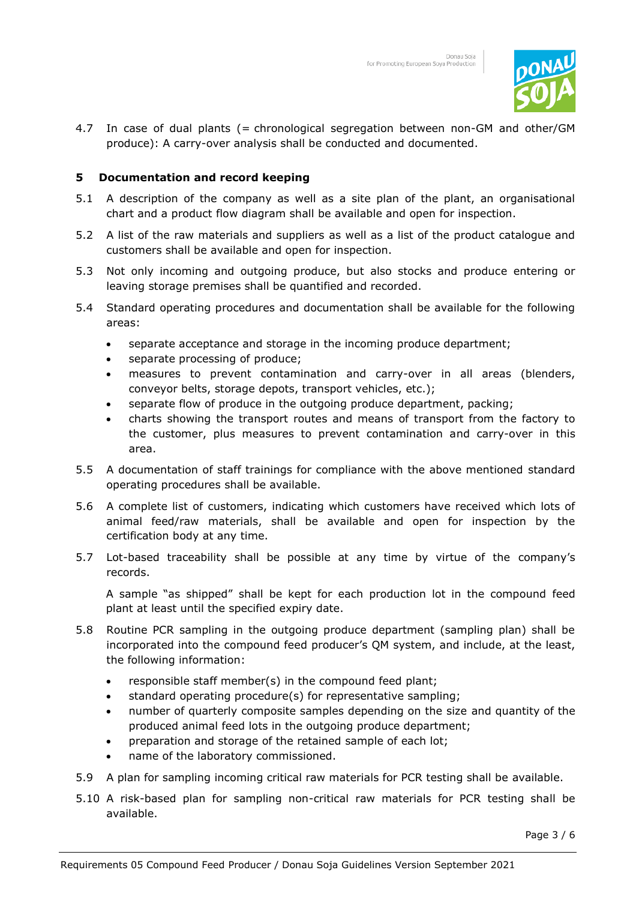

4.7 In case of dual plants (= chronological segregation between non-GM and other/GM produce): A carry-over analysis shall be conducted and documented.

## <span id="page-2-0"></span>**5 Documentation and record keeping**

- 5.1 A description of the company as well as a site plan of the plant, an organisational chart and a product flow diagram shall be available and open for inspection.
- 5.2 A list of the raw materials and suppliers as well as a list of the product catalogue and customers shall be available and open for inspection.
- 5.3 Not only incoming and outgoing produce, but also stocks and produce entering or leaving storage premises shall be quantified and recorded.
- 5.4 Standard operating procedures and documentation shall be available for the following areas:
	- separate acceptance and storage in the incoming produce department;
	- separate processing of produce;
	- measures to prevent contamination and carry-over in all areas (blenders, conveyor belts, storage depots, transport vehicles, etc.);
	- separate flow of produce in the outgoing produce department, packing;
	- charts showing the transport routes and means of transport from the factory to the customer, plus measures to prevent contamination and carry-over in this area.
- 5.5 A documentation of staff trainings for compliance with the above mentioned standard operating procedures shall be available.
- 5.6 A complete list of customers, indicating which customers have received which lots of animal feed/raw materials, shall be available and open for inspection by the certification body at any time.
- 5.7 Lot-based traceability shall be possible at any time by virtue of the company's records.

A sample "as shipped" shall be kept for each production lot in the compound feed plant at least until the specified expiry date.

- 5.8 Routine PCR sampling in the outgoing produce department (sampling plan) shall be incorporated into the compound feed producer's QM system, and include, at the least, the following information:
	- responsible staff member(s) in the compound feed plant;
	- standard operating procedure(s) for representative sampling;
	- number of quarterly composite samples depending on the size and quantity of the produced animal feed lots in the outgoing produce department;
	- preparation and storage of the retained sample of each lot;
	- name of the laboratory commissioned.
- 5.9 A plan for sampling incoming critical raw materials for PCR testing shall be available.
- 5.10 A risk-based plan for sampling non-critical raw materials for PCR testing shall be available.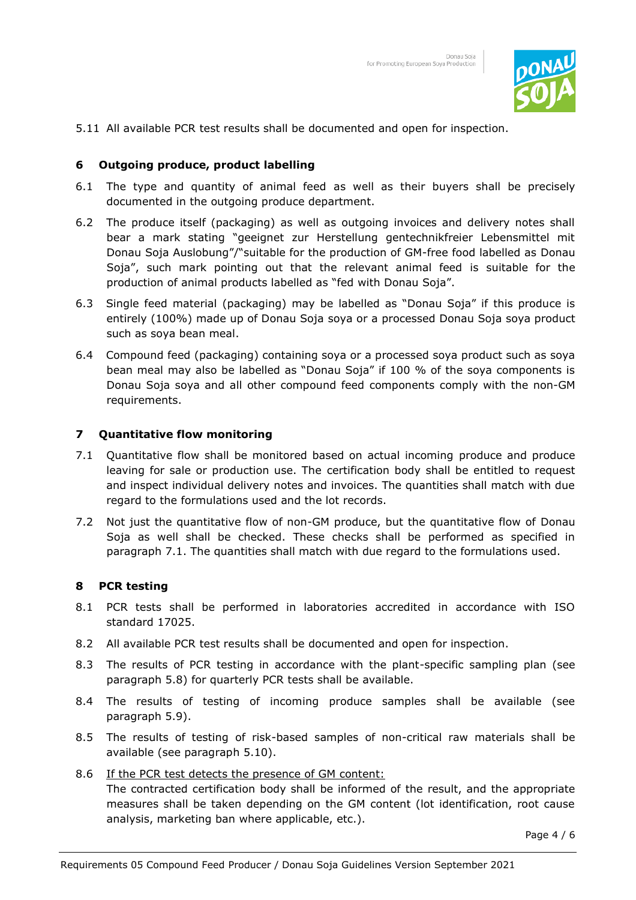

5.11 All available PCR test results shall be documented and open for inspection.

#### <span id="page-3-0"></span>**6 Outgoing produce, product labelling**

- 6.1 The type and quantity of animal feed as well as their buyers shall be precisely documented in the outgoing produce department.
- 6.2 The produce itself (packaging) as well as outgoing invoices and delivery notes shall bear a mark stating "geeignet zur Herstellung gentechnikfreier Lebensmittel mit Donau Soja Auslobung"/"suitable for the production of GM-free food labelled as Donau Soja", such mark pointing out that the relevant animal feed is suitable for the production of animal products labelled as "fed with Donau Soja".
- 6.3 Single feed material (packaging) may be labelled as "Donau Soja" if this produce is entirely (100%) made up of Donau Soja soya or a processed Donau Soja soya product such as soya bean meal.
- 6.4 Compound feed (packaging) containing soya or a processed soya product such as soya bean meal may also be labelled as "Donau Soja" if 100 % of the soya components is Donau Soja soya and all other compound feed components comply with the non-GM requirements.

#### <span id="page-3-1"></span>**7 Quantitative flow monitoring**

- 7.1 Quantitative flow shall be monitored based on actual incoming produce and produce leaving for sale or production use. The certification body shall be entitled to request and inspect individual delivery notes and invoices. The quantities shall match with due regard to the formulations used and the lot records.
- 7.2 Not just the quantitative flow of non-GM produce, but the quantitative flow of Donau Soja as well shall be checked. These checks shall be performed as specified in paragraph 7.1. The quantities shall match with due regard to the formulations used.

#### <span id="page-3-2"></span>**8 PCR testing**

- 8.1 PCR tests shall be performed in laboratories accredited in accordance with ISO standard 17025.
- 8.2 All available PCR test results shall be documented and open for inspection.
- 8.3 The results of PCR testing in accordance with the plant-specific sampling plan (see paragraph 5.8) for quarterly PCR tests shall be available.
- 8.4 The results of testing of incoming produce samples shall be available (see paragraph 5.9).
- 8.5 The results of testing of risk-based samples of non-critical raw materials shall be available (see paragraph 5.10).
- 8.6 If the PCR test detects the presence of GM content:

The contracted certification body shall be informed of the result, and the appropriate measures shall be taken depending on the GM content (lot identification, root cause analysis, marketing ban where applicable, etc.).

Page 4 / 6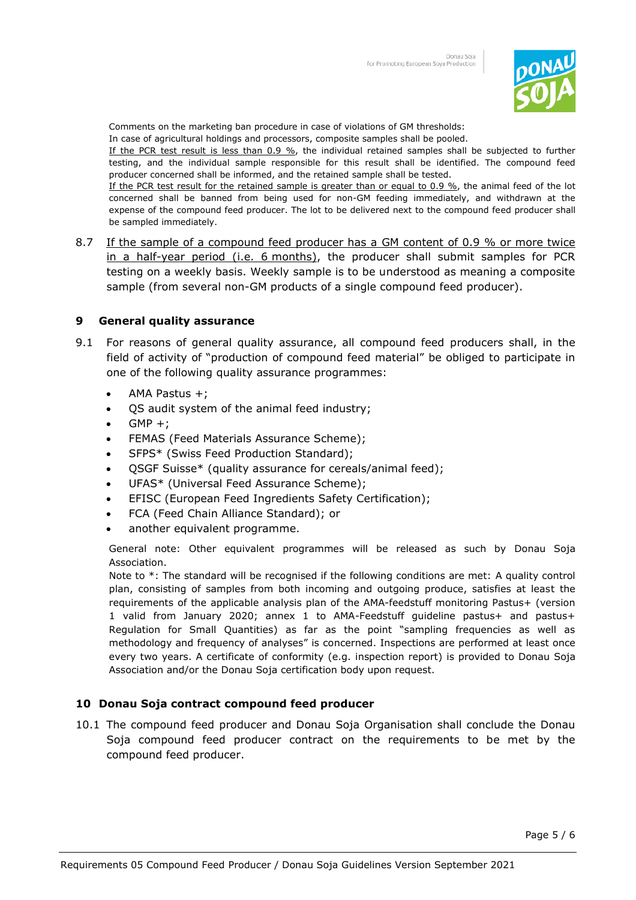

Comments on the marketing ban procedure in case of violations of GM thresholds:

In case of agricultural holdings and processors, composite samples shall be pooled.

If the PCR test result is less than 0.9 %, the individual retained samples shall be subjected to further testing, and the individual sample responsible for this result shall be identified. The compound feed producer concerned shall be informed, and the retained sample shall be tested.

If the PCR test result for the retained sample is greater than or equal to 0.9 %, the animal feed of the lot concerned shall be banned from being used for non-GM feeding immediately, and withdrawn at the expense of the compound feed producer. The lot to be delivered next to the compound feed producer shall be sampled immediately.

8.7 If the sample of a compound feed producer has a GM content of 0.9 % or more twice in a half-year period (i.e. 6 months), the producer shall submit samples for PCR testing on a weekly basis. Weekly sample is to be understood as meaning a composite sample (from several non-GM products of a single compound feed producer).

## <span id="page-4-0"></span>**9 General quality assurance**

- 9.1 For reasons of general quality assurance, all compound feed producers shall, in the field of activity of "production of compound feed material" be obliged to participate in one of the following quality assurance programmes:
	- AMA Pastus +;
	- QS audit system of the animal feed industry;
	- $GMP +;$
	- FEMAS (Feed Materials Assurance Scheme);
	- SFPS\* (Swiss Feed Production Standard);
	- QSGF Suisse\* (quality assurance for cereals/animal feed);
	- UFAS\* (Universal Feed Assurance Scheme);
	- EFISC (European Feed Ingredients Safety Certification);
	- FCA (Feed Chain Alliance Standard); or
	- another equivalent programme.

General note: Other equivalent programmes will be released as such by Donau Soja Association.

Note to \*: The standard will be recognised if the following conditions are met: A quality control plan, consisting of samples from both incoming and outgoing produce, satisfies at least the requirements of the applicable analysis plan of the AMA-feedstuff monitoring Pastus+ (version 1 valid from January 2020; annex 1 to AMA-Feedstuff guideline pastus+ and pastus+ Regulation for Small Quantities) as far as the point "sampling frequencies as well as methodology and frequency of analyses" is concerned. Inspections are performed at least once every two years. A certificate of conformity (e.g. inspection report) is provided to Donau Soja Association and/or the Donau Soja certification body upon request.

### <span id="page-4-1"></span>**10 Donau Soja contract compound feed producer**

10.1 The compound feed producer and Donau Soja Organisation shall conclude the Donau Soja compound feed producer contract on the requirements to be met by the compound feed producer.